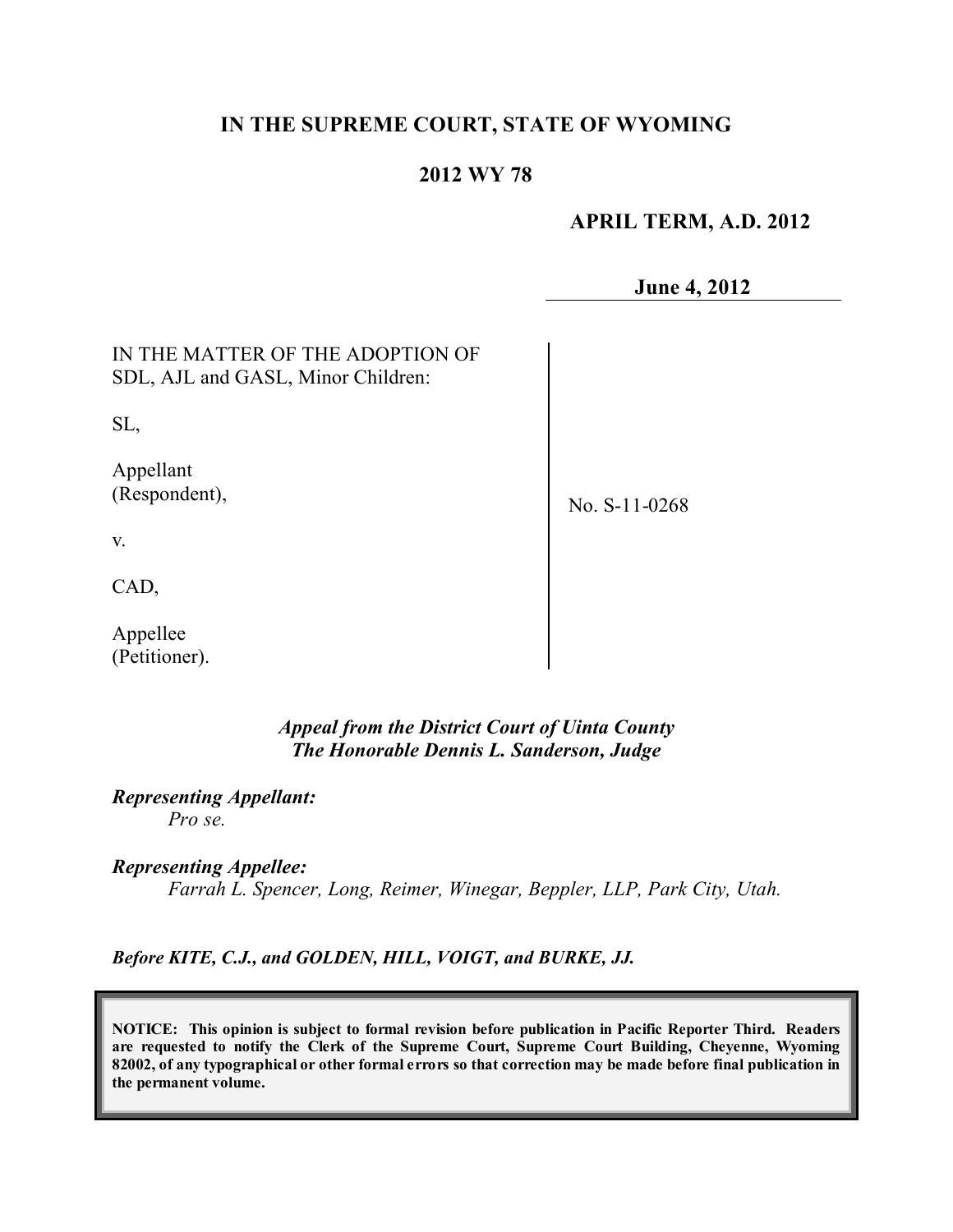# **IN THE SUPREME COURT, STATE OF WYOMING**

### **2012 WY 78**

 **APRIL TERM, A.D. 2012**

**June 4, 2012**

IN THE MATTER OF THE ADOPTION OF SDL, AJL and GASL, Minor Children:

SL,

Appellant (Respondent),

No. S-11-0268

v.

CAD,

Appellee (Petitioner).

> *Appeal from the District Court of Uinta County The Honorable Dennis L. Sanderson, Judge*

*Representing Appellant: Pro se.*

*Representing Appellee:*

*Farrah L. Spencer, Long, Reimer, Winegar, Beppler, LLP, Park City, Utah.*

*Before KITE, C.J., and GOLDEN, HILL, VOIGT, and BURKE, JJ.*

**NOTICE: This opinion is subject to formal revision before publication in Pacific Reporter Third. Readers are requested to notify the Clerk of the Supreme Court, Supreme Court Building, Cheyenne, Wyoming** 82002, of any typographical or other formal errors so that correction may be made before final publication in **the permanent volume.**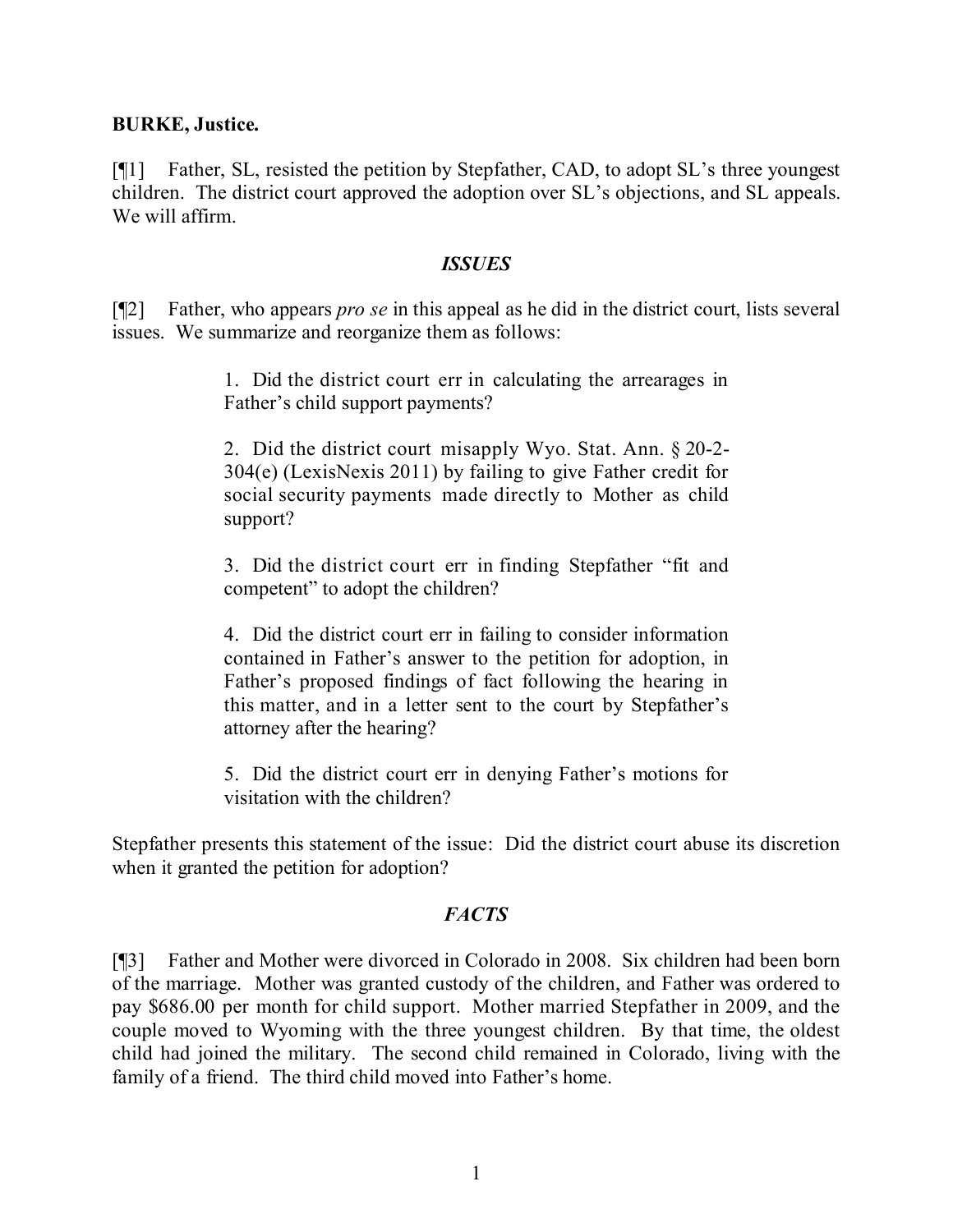#### **BURKE, Justice.**

[¶1] Father, SL, resisted the petition by Stepfather, CAD, to adopt SL's three youngest children. The district court approved the adoption over SL's objections, and SL appeals. We will affirm.

#### *ISSUES*

[¶2] Father, who appears *pro se* in this appeal as he did in the district court, lists several issues. We summarize and reorganize them as follows:

> 1. Did the district court err in calculating the arrearages in Father's child support payments?

> 2. Did the district court misapply Wyo. Stat. Ann. § 20-2- 304(e) (LexisNexis 2011) by failing to give Father credit for social security payments made directly to Mother as child support?

> 3. Did the district court err in finding Stepfather "fit and competent" to adopt the children?

> 4. Did the district court err in failing to consider information contained in Father's answer to the petition for adoption, in Father's proposed findings of fact following the hearing in this matter, and in a letter sent to the court by Stepfather's attorney after the hearing?

> 5. Did the district court err in denying Father's motions for visitation with the children?

Stepfather presents this statement of the issue: Did the district court abuse its discretion when it granted the petition for adoption?

### *FACTS*

[¶3] Father and Mother were divorced in Colorado in 2008. Six children had been born of the marriage. Mother was granted custody of the children, and Father was ordered to pay \$686.00 per month for child support. Mother married Stepfather in 2009, and the couple moved to Wyoming with the three youngest children. By that time, the oldest child had joined the military. The second child remained in Colorado, living with the family of a friend. The third child moved into Father's home.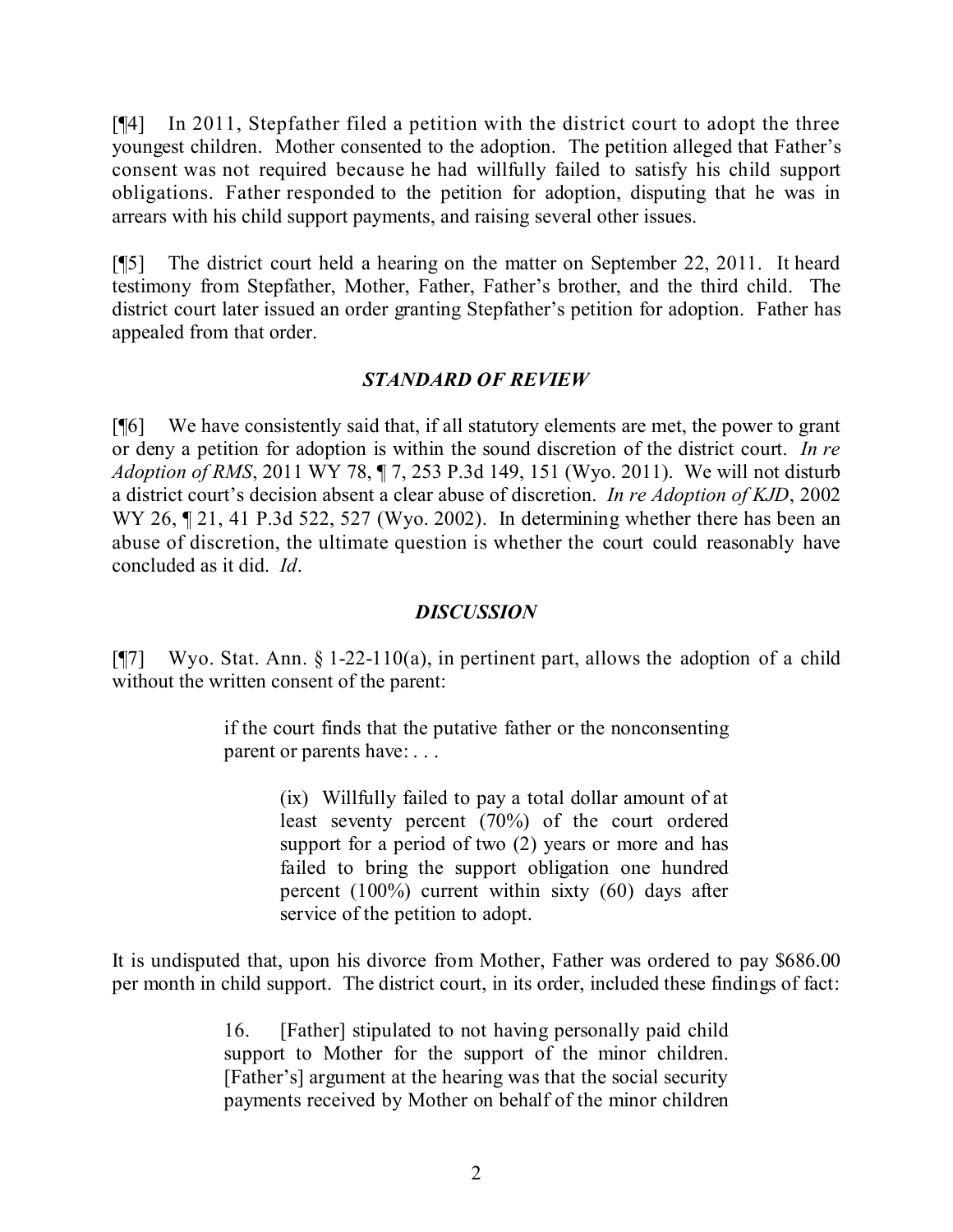[¶4] In 2011, Stepfather filed a petition with the district court to adopt the three youngest children. Mother consented to the adoption. The petition alleged that Father's consent was not required because he had willfully failed to satisfy his child support obligations. Father responded to the petition for adoption, disputing that he was in arrears with his child support payments, and raising several other issues.

[¶5] The district court held a hearing on the matter on September 22, 2011. It heard testimony from Stepfather, Mother, Father, Father's brother, and the third child. The district court later issued an order granting Stepfather's petition for adoption. Father has appealed from that order.

### *STANDARD OF REVIEW*

[¶6] We have consistently said that, if all statutory elements are met, the power to grant or deny a petition for adoption is within the sound discretion of the district court. *In re Adoption of RMS*, 2011 WY 78, ¶ 7, 253 P.3d 149, 151 (Wyo. 2011). We will not disturb a district court's decision absent a clear abuse of discretion. *In re Adoption of KJD*, 2002 WY 26,  $\P$  21, 41 P.3d 522, 527 (Wyo. 2002). In determining whether there has been an abuse of discretion, the ultimate question is whether the court could reasonably have concluded as it did. *Id*.

## *DISCUSSION*

[ $\sqrt{97}$ ] Wyo. Stat. Ann. § 1-22-110(a), in pertinent part, allows the adoption of a child without the written consent of the parent:

> if the court finds that the putative father or the nonconsenting parent or parents have: . . .

> > (ix) Willfully failed to pay a total dollar amount of at least seventy percent (70%) of the court ordered support for a period of two  $(2)$  years or more and has failed to bring the support obligation one hundred percent (100%) current within sixty (60) days after service of the petition to adopt.

It is undisputed that, upon his divorce from Mother, Father was ordered to pay \$686.00 per month in child support. The district court, in its order, included these findings of fact:

> 16. [Father] stipulated to not having personally paid child support to Mother for the support of the minor children. [Father's] argument at the hearing was that the social security payments received by Mother on behalf of the minor children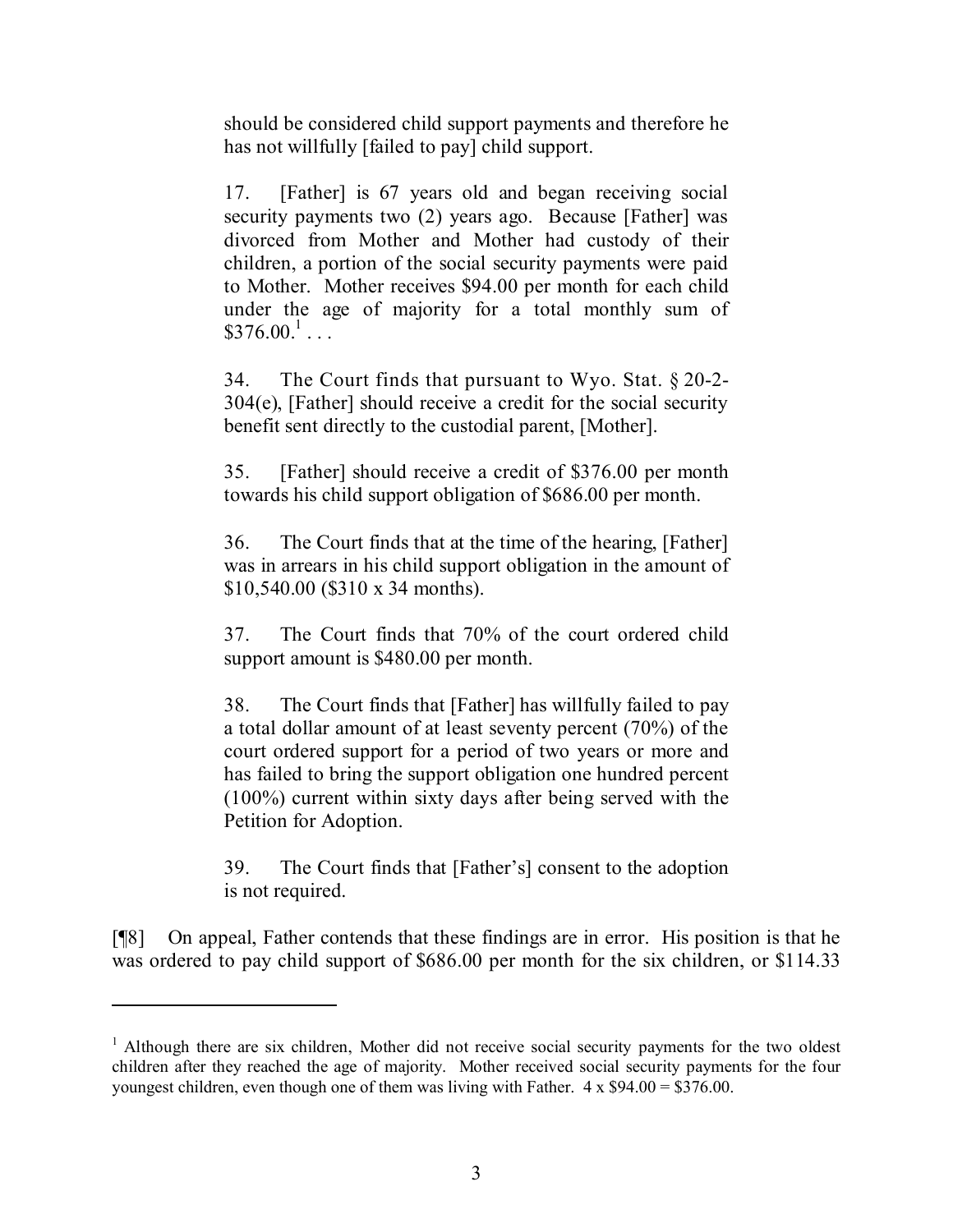should be considered child support payments and therefore he has not willfully [failed to pay] child support.

17. [Father] is 67 years old and began receiving social security payments two (2) years ago. Because [Father] was divorced from Mother and Mother had custody of their children, a portion of the social security payments were paid to Mother. Mother receives \$94.00 per month for each child under the age of majority for a total monthly sum of  $$376.00<sup>1</sup>...$ 

34. The Court finds that pursuant to Wyo. Stat. § 20-2- 304(e), [Father] should receive a credit for the social security benefit sent directly to the custodial parent, [Mother].

35. [Father] should receive a credit of \$376.00 per month towards his child support obligation of \$686.00 per month.

36. The Court finds that at the time of the hearing, [Father] was in arrears in his child support obligation in the amount of \$10,540.00 (\$310 x 34 months).

37. The Court finds that 70% of the court ordered child support amount is \$480.00 per month.

38. The Court finds that [Father] has willfully failed to pay a total dollar amount of at least seventy percent (70%) of the court ordered support for a period of two years or more and has failed to bring the support obligation one hundred percent (100%) current within sixty days after being served with the Petition for Adoption.

39. The Court finds that [Father's] consent to the adoption is not required.

[¶8] On appeal, Father contends that these findings are in error. His position is that he was ordered to pay child support of \$686.00 per month for the six children, or \$114.33

 $1$  Although there are six children, Mother did not receive social security payments for the two oldest children after they reached the age of majority. Mother received social security payments for the four youngest children, even though one of them was living with Father.  $4 \times $94.00 = $376.00$ .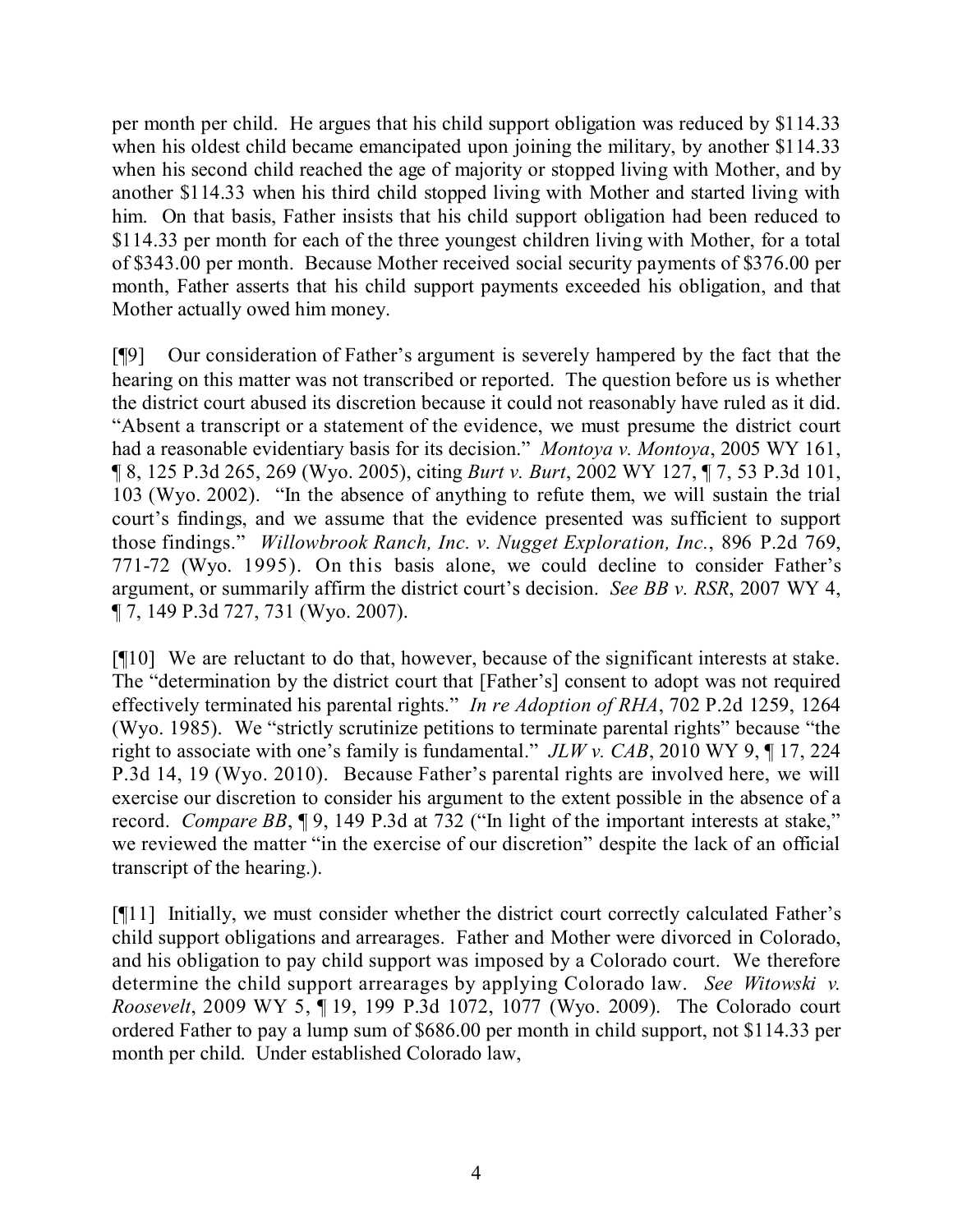per month per child. He argues that his child support obligation was reduced by \$114.33 when his oldest child became emancipated upon joining the military, by another \$114.33 when his second child reached the age of majority or stopped living with Mother, and by another \$114.33 when his third child stopped living with Mother and started living with him. On that basis, Father insists that his child support obligation had been reduced to \$114.33 per month for each of the three youngest children living with Mother, for a total of \$343.00 per month. Because Mother received social security payments of \$376.00 per month, Father asserts that his child support payments exceeded his obligation, and that Mother actually owed him money.

[¶9] Our consideration of Father's argument is severely hampered by the fact that the hearing on this matter was not transcribed or reported. The question before us is whether the district court abused its discretion because it could not reasonably have ruled as it did. "Absent a transcript or a statement of the evidence, we must presume the district court had a reasonable evidentiary basis for its decision." *Montoya v. Montoya*, 2005 WY 161, ¶ 8, 125 P.3d 265, 269 (Wyo. 2005), citing *Burt v. Burt*, 2002 WY 127, ¶ 7, 53 P.3d 101, 103 (Wyo. 2002). "In the absence of anything to refute them, we will sustain the trial court's findings, and we assume that the evidence presented was sufficient to support those findings." *Willowbrook Ranch, Inc. v. Nugget Exploration, Inc.*, 896 P.2d 769, 771-72 (Wyo. 1995). On this basis alone, we could decline to consider Father's argument, or summarily affirm the district court's decision. *See BB v. RSR*, 2007 WY 4, ¶ 7, 149 P.3d 727, 731 (Wyo. 2007).

[¶10] We are reluctant to do that, however, because of the significant interests at stake. The "determination by the district court that [Father's] consent to adopt was not required effectively terminated his parental rights." *In re Adoption of RHA*, 702 P.2d 1259, 1264 (Wyo. 1985). We "strictly scrutinize petitions to terminate parental rights" because "the right to associate with one's family is fundamental." *JLW v. CAB*, 2010 WY 9, ¶ 17, 224 P.3d 14, 19 (Wyo. 2010). Because Father's parental rights are involved here, we will exercise our discretion to consider his argument to the extent possible in the absence of a record. *Compare BB*,  $\P$ 9, 149 P.3d at 732 ("In light of the important interests at stake," we reviewed the matter "in the exercise of our discretion" despite the lack of an official transcript of the hearing.).

[¶11] Initially, we must consider whether the district court correctly calculated Father's child support obligations and arrearages. Father and Mother were divorced in Colorado, and his obligation to pay child support was imposed by a Colorado court. We therefore determine the child support arrearages by applying Colorado law. *See Witowski v. Roosevelt*, 2009 WY 5, ¶ 19, 199 P.3d 1072, 1077 (Wyo. 2009). The Colorado court ordered Father to pay a lump sum of \$686.00 per month in child support, not \$114.33 per month per child. Under established Colorado law,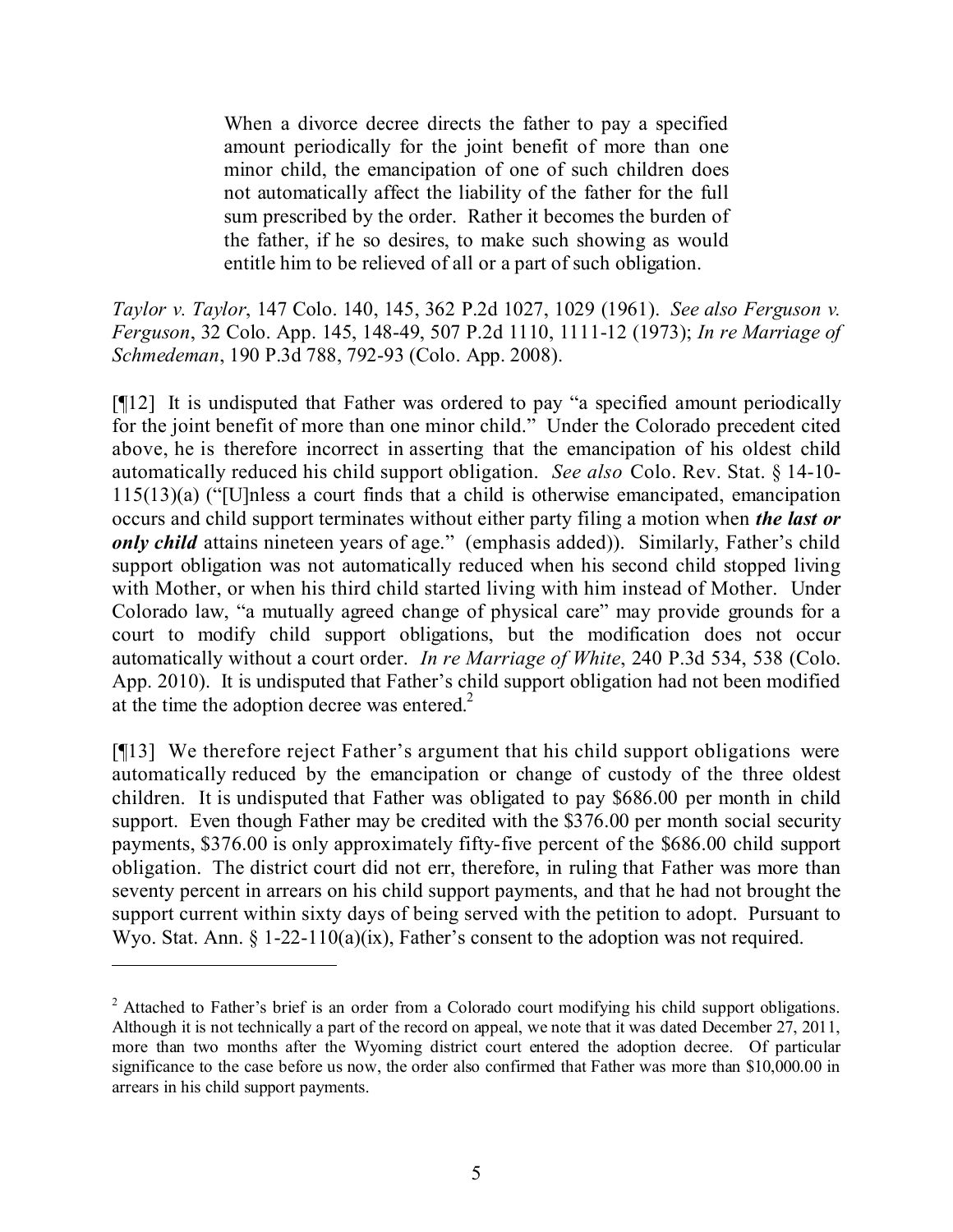When a divorce decree directs the father to pay a specified amount periodically for the joint benefit of more than one minor child, the emancipation of one of such children does not automatically affect the liability of the father for the full sum prescribed by the order. Rather it becomes the burden of the father, if he so desires, to make such showing as would entitle him to be relieved of all or a part of such obligation.

*Taylor v. Taylor*, 147 Colo. 140, 145, 362 P.2d 1027, 1029 (1961). *See also Ferguson v. Ferguson*, 32 Colo. App. 145, 148-49, 507 P.2d 1110, 1111-12 (1973); *In re Marriage of Schmedeman*, 190 P.3d 788, 792-93 (Colo. App. 2008).

[¶12] It is undisputed that Father was ordered to pay "a specified amount periodically for the joint benefit of more than one minor child." Under the Colorado precedent cited above, he is therefore incorrect in asserting that the emancipation of his oldest child automatically reduced his child support obligation. *See also* Colo. Rev. Stat. § 14-10- 115(13)(a) ("[U]nless a court finds that a child is otherwise emancipated, emancipation occurs and child support terminates without either party filing a motion when *the last or only child* attains nineteen years of age." (emphasis added)). Similarly, Father's child support obligation was not automatically reduced when his second child stopped living with Mother, or when his third child started living with him instead of Mother. Under Colorado law, "a mutually agreed change of physical care" may provide grounds for a court to modify child support obligations, but the modification does not occur automatically without a court order. *In re Marriage of White*, 240 P.3d 534, 538 (Colo. App. 2010). It is undisputed that Father's child support obligation had not been modified at the time the adoption decree was entered.<sup>2</sup>

[¶13] We therefore reject Father's argument that his child support obligations were automatically reduced by the emancipation or change of custody of the three oldest children. It is undisputed that Father was obligated to pay \$686.00 per month in child support. Even though Father may be credited with the \$376.00 per month social security payments, \$376.00 is only approximately fifty-five percent of the \$686.00 child support obligation. The district court did not err, therefore, in ruling that Father was more than seventy percent in arrears on his child support payments, and that he had not brought the support current within sixty days of being served with the petition to adopt. Pursuant to Wyo. Stat. Ann. § 1-22-110(a)(ix), Father's consent to the adoption was not required.

<sup>&</sup>lt;sup>2</sup> Attached to Father's brief is an order from a Colorado court modifying his child support obligations. Although it is not technically a part of the record on appeal, we note that it was dated December 27, 2011, more than two months after the Wyoming district court entered the adoption decree. Of particular significance to the case before us now, the order also confirmed that Father was more than \$10,000.00 in arrears in his child support payments.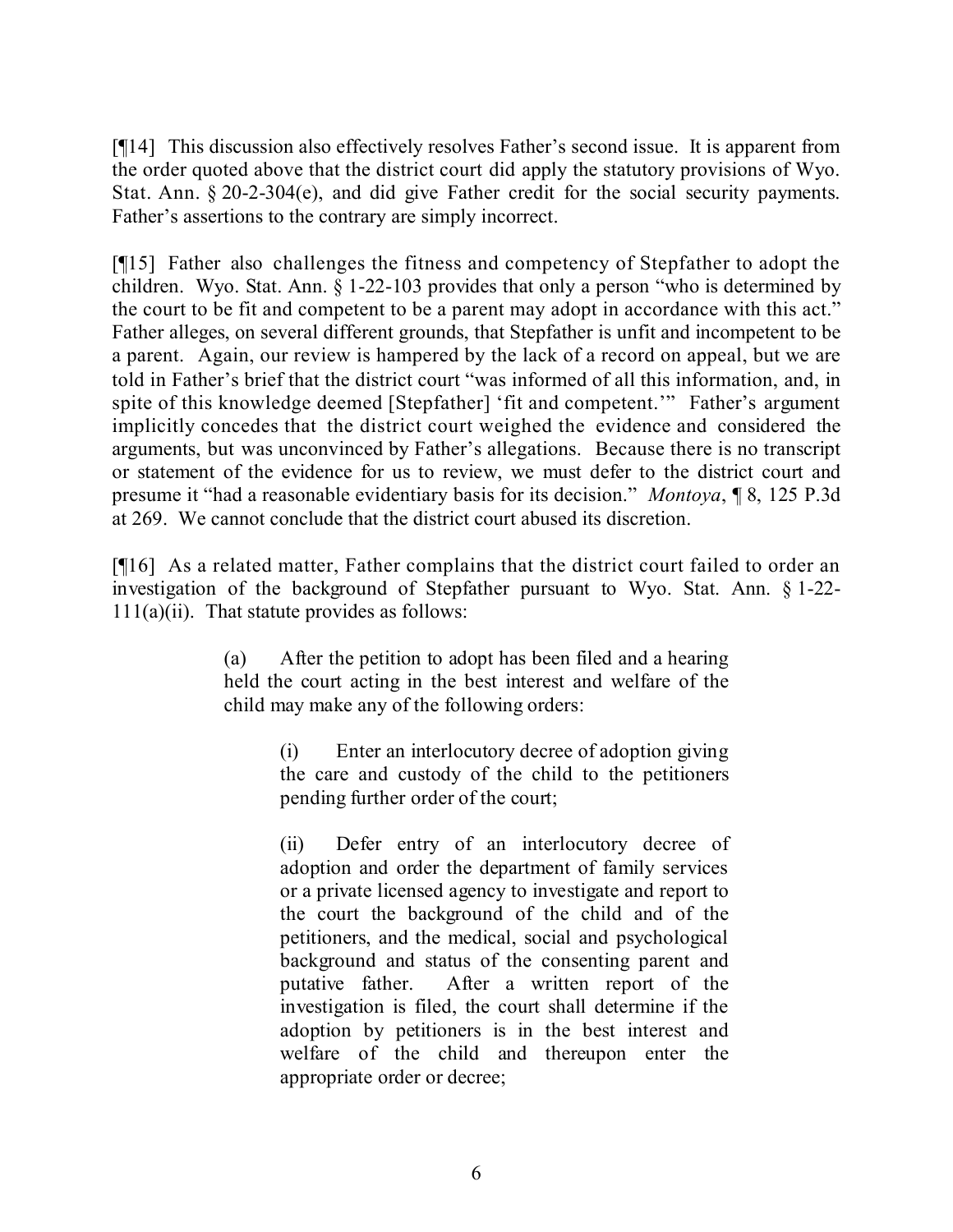[¶14] This discussion also effectively resolves Father's second issue. It is apparent from the order quoted above that the district court did apply the statutory provisions of Wyo. Stat. Ann. § 20-2-304(e), and did give Father credit for the social security payments. Father's assertions to the contrary are simply incorrect.

[¶15] Father also challenges the fitness and competency of Stepfather to adopt the children. Wyo. Stat. Ann. § 1-22-103 provides that only a person "who is determined by the court to be fit and competent to be a parent may adopt in accordance with this act." Father alleges, on several different grounds, that Stepfather is unfit and incompetent to be a parent. Again, our review is hampered by the lack of a record on appeal, but we are told in Father's brief that the district court "was informed of all this information, and, in spite of this knowledge deemed [Stepfather] 'fit and competent.'" Father's argument implicitly concedes that the district court weighed the evidence and considered the arguments, but was unconvinced by Father's allegations. Because there is no transcript or statement of the evidence for us to review, we must defer to the district court and presume it "had a reasonable evidentiary basis for its decision." *Montoya*, ¶ 8, 125 P.3d at 269. We cannot conclude that the district court abused its discretion.

[¶16] As a related matter, Father complains that the district court failed to order an investigation of the background of Stepfather pursuant to Wyo. Stat. Ann. § 1-22-  $111(a)(ii)$ . That statute provides as follows:

> (a) After the petition to adopt has been filed and a hearing held the court acting in the best interest and welfare of the child may make any of the following orders:

> > (i) Enter an interlocutory decree of adoption giving the care and custody of the child to the petitioners pending further order of the court;

(ii) Defer entry of an interlocutory decree of adoption and order the department of family services or a private licensed agency to investigate and report to the court the background of the child and of the petitioners, and the medical, social and psychological background and status of the consenting parent and putative father. After a written report of the investigation is filed, the court shall determine if the adoption by petitioners is in the best interest and welfare of the child and thereupon enter the appropriate order or decree;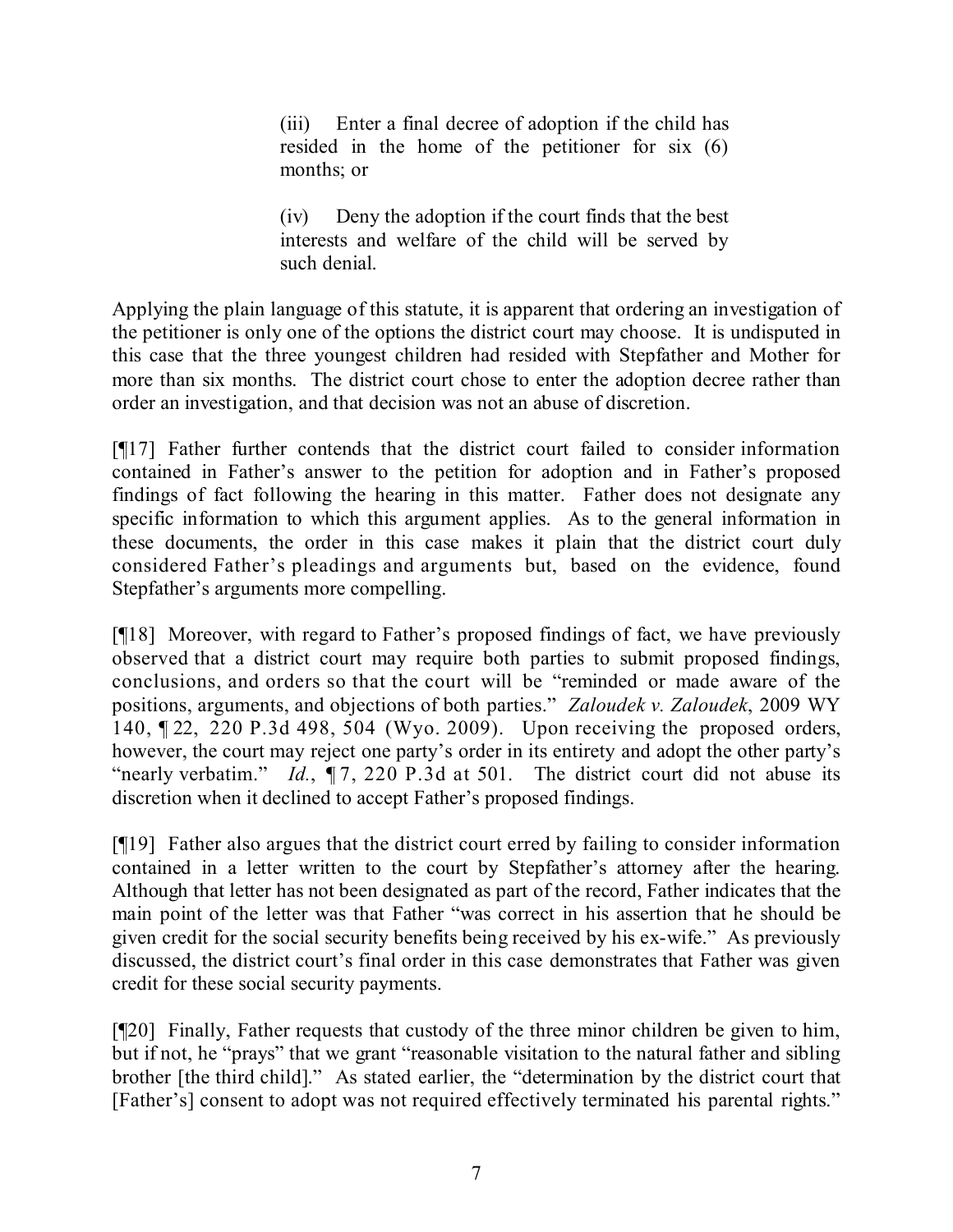(iii) Enter a final decree of adoption if the child has resided in the home of the petitioner for six (6) months; or

(iv) Deny the adoption if the court finds that the best interests and welfare of the child will be served by such denial.

Applying the plain language of this statute, it is apparent that ordering an investigation of the petitioner is only one of the options the district court may choose. It is undisputed in this case that the three youngest children had resided with Stepfather and Mother for more than six months. The district court chose to enter the adoption decree rather than order an investigation, and that decision was not an abuse of discretion.

[¶17] Father further contends that the district court failed to consider information contained in Father's answer to the petition for adoption and in Father's proposed findings of fact following the hearing in this matter. Father does not designate any specific information to which this argument applies. As to the general information in these documents, the order in this case makes it plain that the district court duly considered Father's pleadings and arguments but, based on the evidence, found Stepfather's arguments more compelling.

[¶18] Moreover, with regard to Father's proposed findings of fact, we have previously observed that a district court may require both parties to submit proposed findings, conclusions, and orders so that the court will be "reminded or made aware of the positions, arguments, and objections of both parties." *Zaloudek v. Zaloudek*, 2009 WY 140, ¶ 22, 220 P.3d 498, 504 (Wyo. 2009). Upon receiving the proposed orders, however, the court may reject one party's order in its entirety and adopt the other party's "nearly verbatim." *Id.*,  $\P$ 7, 220 P.3d at 501. The district court did not abuse its discretion when it declined to accept Father's proposed findings.

[¶19] Father also argues that the district court erred by failing to consider information contained in a letter written to the court by Stepfather's attorney after the hearing. Although that letter has not been designated as part of the record, Father indicates that the main point of the letter was that Father "was correct in his assertion that he should be given credit for the social security benefits being received by his ex-wife." As previously discussed, the district court's final order in this case demonstrates that Father was given credit for these social security payments.

[¶20] Finally, Father requests that custody of the three minor children be given to him, but if not, he "prays" that we grant "reasonable visitation to the natural father and sibling brother [the third child]." As stated earlier, the "determination by the district court that [Father's] consent to adopt was not required effectively terminated his parental rights."